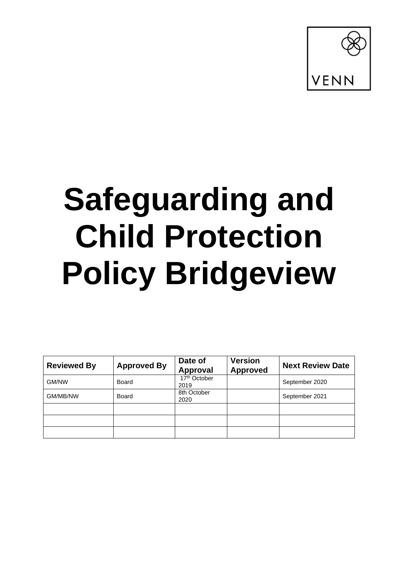

# **Safeguarding and Child Protection Policy Bridgeview**

| <b>Reviewed By</b> | <b>Approved By</b> | Date of<br>Approval              | <b>Version</b><br><b>Approved</b> | <b>Next Review Date</b> |
|--------------------|--------------------|----------------------------------|-----------------------------------|-------------------------|
| <b>GM/NW</b>       | Board              | 17 <sup>th</sup> October<br>2019 |                                   | September 2020          |
| GM/MB/NW           | Board              | 8th October<br>2020              |                                   | September 2021          |
|                    |                    |                                  |                                   |                         |
|                    |                    |                                  |                                   |                         |
|                    |                    |                                  |                                   |                         |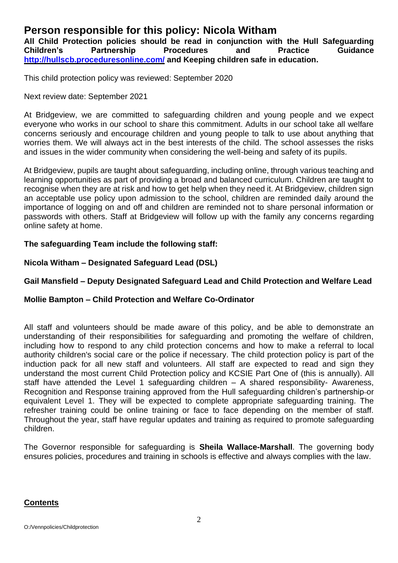# **Person responsible for this policy: Nicola Witham**

**All Child Protection policies should be read in conjunction with the Hull Safeguarding Children's Partnership Procedures and Practice Guidance <http://hullscb.proceduresonline.com/> and Keeping children safe in education.** 

This child protection policy was reviewed: September 2020

Next review date: September 2021

At Bridgeview, we are committed to safeguarding children and young people and we expect everyone who works in our school to share this commitment. Adults in our school take all welfare concerns seriously and encourage children and young people to talk to use about anything that worries them. We will always act in the best interests of the child. The school assesses the risks and issues in the wider community when considering the well-being and safety of its pupils.

At Bridgeview, pupils are taught about safeguarding, including online, through various teaching and learning opportunities as part of providing a broad and balanced curriculum. Children are taught to recognise when they are at risk and how to get help when they need it. At Bridgeview, children sign an acceptable use policy upon admission to the school, children are reminded daily around the importance of logging on and off and children are reminded not to share personal information or passwords with others. Staff at Bridgeview will follow up with the family any concerns regarding online safety at home.

## **The safeguarding Team include the following staff:**

## **Nicola Witham – Designated Safeguard Lead (DSL)**

## **Gail Mansfield – Deputy Designated Safeguard Lead and Child Protection and Welfare Lead**

## **Mollie Bampton – Child Protection and Welfare Co-Ordinator**

All staff and volunteers should be made aware of this policy, and be able to demonstrate an understanding of their responsibilities for safeguarding and promoting the welfare of children, including how to respond to any child protection concerns and how to make a referral to local authority children's social care or the police if necessary. The child protection policy is part of the induction pack for all new staff and volunteers. All staff are expected to read and sign they understand the most current Child Protection policy and KCSIE Part One of (this is annually). All staff have attended the Level 1 safeguarding children – A shared responsibility- Awareness, Recognition and Response training approved from the Hull safeguarding children's partnership or equivalent Level 1. They will be expected to complete appropriate safeguarding training. The refresher training could be online training or face to face depending on the member of staff. Throughout the year, staff have regular updates and training as required to promote safeguarding children.

The Governor responsible for safeguarding is **Sheila Wallace-Marshall**. The governing body ensures policies, procedures and training in schools is effective and always complies with the law.

#### **Contents**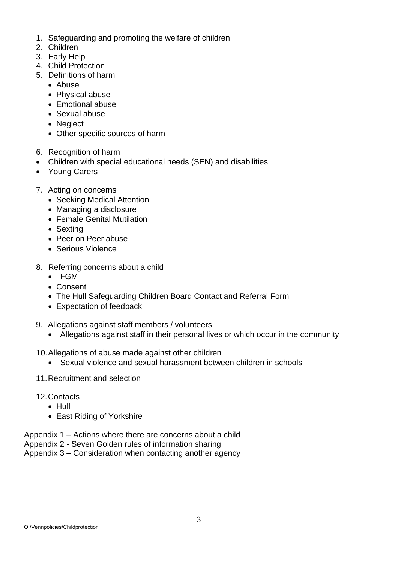- 1. Safeguarding and promoting the welfare of children
- 2. Children
- 3. Early Help
- 4. Child Protection
- 5. Definitions of harm
	- Abuse
	- Physical abuse
	- Emotional abuse
	- Sexual abuse
	- Neglect
	- Other specific sources of harm
- 6. Recognition of harm
- Children with special educational needs (SEN) and disabilities
- Young Carers
- 7. Acting on concerns
	- Seeking Medical Attention
	- Managing a disclosure
	- Female Genital Mutilation
	- Sexting
	- Peer on Peer abuse
	- Serious Violence
- 8. Referring concerns about a child
	- FGM
	- Consent
	- The Hull Safeguarding Children Board Contact and Referral Form
	- Expectation of feedback
- 9. Allegations against staff members / volunteers
	- Allegations against staff in their personal lives or which occur in the community
- 10.Allegations of abuse made against other children
	- Sexual violence and sexual harassment between children in schools
- 11.Recruitment and selection
- 12.Contacts
	- Hull
	- East Riding of Yorkshire
- Appendix 1 Actions where there are concerns about a child
- Appendix 2 Seven Golden rules of information sharing
- Appendix 3 Consideration when contacting another agency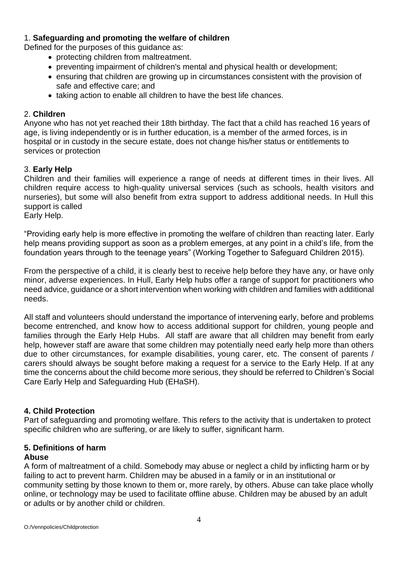## 1. **Safeguarding and promoting the welfare of children**

Defined for the purposes of this guidance as:

- protecting children from maltreatment.
- preventing impairment of children's mental and physical health or development;
- ensuring that children are growing up in circumstances consistent with the provision of safe and effective care; and
- taking action to enable all children to have the best life chances.

#### 2. **Children**

Anyone who has not yet reached their 18th birthday. The fact that a child has reached 16 years of age, is living independently or is in further education, is a member of the armed forces, is in hospital or in custody in the secure estate, does not change his/her status or entitlements to services or protection

## 3. **Early Help**

Children and their families will experience a range of needs at different times in their lives. All children require access to high-quality universal services (such as schools, health visitors and nurseries), but some will also benefit from extra support to address additional needs. In Hull this support is called

Early Help.

"Providing early help is more effective in promoting the welfare of children than reacting later. Early help means providing support as soon as a problem emerges, at any point in a child's life, from the foundation years through to the teenage years" (Working Together to Safeguard Children 2015).

From the perspective of a child, it is clearly best to receive help before they have any, or have only minor, adverse experiences. In Hull, Early Help hubs offer a range of support for practitioners who need advice, guidance or a short intervention when working with children and families with additional needs.

All staff and volunteers should understand the importance of intervening early, before and problems become entrenched, and know how to access additional support for children, young people and families through the Early Help Hubs. All staff are aware that all children may benefit from early help, however staff are aware that some children may potentially need early help more than others due to other circumstances, for example disabilities, young carer, etc. The consent of parents / carers should always be sought before making a request for a service to the Early Help. If at any time the concerns about the child become more serious, they should be referred to Children's Social Care Early Help and Safeguarding Hub (EHaSH).

## **4. Child Protection**

Part of safeguarding and promoting welfare. This refers to the activity that is undertaken to protect specific children who are suffering, or are likely to suffer, significant harm.

## **5. Definitions of harm**

#### **Abuse**

A form of maltreatment of a child. Somebody may abuse or neglect a child by inflicting harm or by failing to act to prevent harm. Children may be abused in a family or in an institutional or community setting by those known to them or, more rarely, by others. Abuse can take place wholly online, or technology may be used to facilitate offline abuse. Children may be abused by an adult or adults or by another child or children.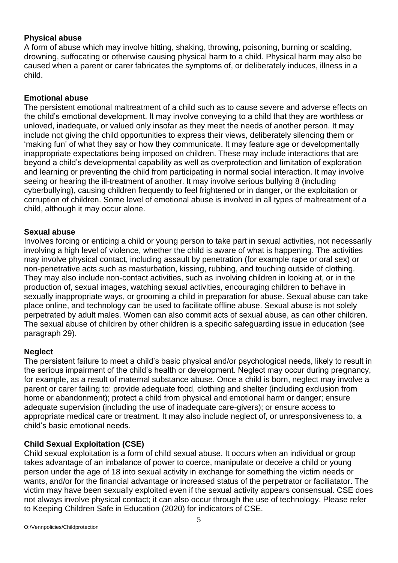## **Physical abuse**

A form of abuse which may involve hitting, shaking, throwing, poisoning, burning or scalding, drowning, suffocating or otherwise causing physical harm to a child. Physical harm may also be caused when a parent or carer fabricates the symptoms of, or deliberately induces, illness in a child.

## **Emotional abuse**

The persistent emotional maltreatment of a child such as to cause severe and adverse effects on the child's emotional development. It may involve conveying to a child that they are worthless or unloved, inadequate, or valued only insofar as they meet the needs of another person. It may include not giving the child opportunities to express their views, deliberately silencing them or 'making fun' of what they say or how they communicate. It may feature age or developmentally inappropriate expectations being imposed on children. These may include interactions that are beyond a child's developmental capability as well as overprotection and limitation of exploration and learning or preventing the child from participating in normal social interaction. It may involve seeing or hearing the ill-treatment of another. It may involve serious bullying 8 (including cyberbullying), causing children frequently to feel frightened or in danger, or the exploitation or corruption of children. Some level of emotional abuse is involved in all types of maltreatment of a child, although it may occur alone.

#### **Sexual abuse**

Involves forcing or enticing a child or young person to take part in sexual activities, not necessarily involving a high level of violence, whether the child is aware of what is happening. The activities may involve physical contact, including assault by penetration (for example rape or oral sex) or non-penetrative acts such as masturbation, kissing, rubbing, and touching outside of clothing. They may also include non-contact activities, such as involving children in looking at, or in the production of, sexual images, watching sexual activities, encouraging children to behave in sexually inappropriate ways, or grooming a child in preparation for abuse. Sexual abuse can take place online, and technology can be used to facilitate offline abuse. Sexual abuse is not solely perpetrated by adult males. Women can also commit acts of sexual abuse, as can other children. The sexual abuse of children by other children is a specific safeguarding issue in education (see paragraph 29).

## **Neglect**

The persistent failure to meet a child's basic physical and/or psychological needs, likely to result in the serious impairment of the child's health or development. Neglect may occur during pregnancy, for example, as a result of maternal substance abuse. Once a child is born, neglect may involve a parent or carer failing to: provide adequate food, clothing and shelter (including exclusion from home or abandonment); protect a child from physical and emotional harm or danger; ensure adequate supervision (including the use of inadequate care-givers); or ensure access to appropriate medical care or treatment. It may also include neglect of, or unresponsiveness to, a child's basic emotional needs.

## **Child Sexual Exploitation (CSE)**

Child sexual exploitation is a form of child sexual abuse. It occurs when an individual or group takes advantage of an imbalance of power to coerce, manipulate or deceive a child or young person under the age of 18 into sexual activity in exchange for something the victim needs or wants, and/or for the financial advantage or increased status of the perpetrator or faciliatator. The victim may have been sexually exploited even if the sexual activity appears consensual. CSE does not always involve physical contact; it can also occur through the use of technology. Please refer to Keeping Children Safe in Education (2020) for indicators of CSE.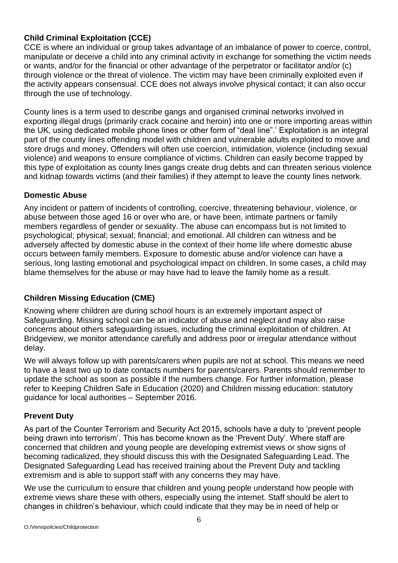## **Child Criminal Exploitation (CCE)**

CCE is where an individual or group takes advantage of an imbalance of power to coerce, control, manipulate or deceive a child into any criminal activity in exchange for something the victim needs or wants, and/or for the financial or other advantage of the perpetrator or facilitator and/or (c) through violence or the threat of violence. The victim may have been criminally exploited even if the activity appears consensual. CCE does not always involve physical contact; it can also occur through the use of technology.

County lines is a term used to describe gangs and organised criminal networks involved in exporting illegal drugs (primarily crack cocaine and heroin) into one or more importing areas within the UK, using dedicated mobile phone lines or other form of "deal line".' Exploitation is an integral part of the county lines offending model with children and vulnerable adults exploited to move and store drugs and money. Offenders will often use coercion, intimidation, violence (including sexual violence) and weapons to ensure compliance of victims. Children can easily become trapped by this type of exploitation as county lines gangs create drug debts and can threaten serious violence and kidnap towards victims (and their families) if they attempt to leave the county lines network.

## **Domestic Abuse**

Any incident or pattern of incidents of controlling, coercive, threatening behaviour, violence, or abuse between those aged 16 or over who are, or have been, intimate partners or family members regardless of gender or sexuality. The abuse can encompass but is not limited to psychological; physical; sexual; financial; and emotional. All children can witness and be adversely affected by domestic abuse in the context of their home life where domestic abuse occurs between family members. Exposure to domestic abuse and/or violence can have a serious, long lasting emotional and psychological impact on children. In some cases, a child may blame themselves for the abuse or may have had to leave the family home as a result.

## **Children Missing Education (CME)**

Knowing where children are during school hours is an extremely important aspect of Safeguarding. Missing school can be an indicator of abuse and neglect and may also raise concerns about others safeguarding issues, including the criminal exploitation of children. At Bridgeview, we monitor attendance carefully and address poor or irregular attendance without delay.

We will always follow up with parents/carers when pupils are not at school. This means we need to have a least two up to date contacts numbers for parents/carers. Parents should remember to update the school as soon as possible if the numbers change. For further information, please refer to Keeping Children Safe in Education (2020) and Children missing education: statutory guidance for local authorities – September 2016.

## **Prevent Duty**

As part of the Counter Terrorism and Security Act 2015, schools have a duty to 'prevent people being drawn into terrorism'. This has become known as the 'Prevent Duty'. Where staff are concerned that children and young people are developing extremist views or show signs of becoming radicalized, they should discuss this with the Designated Safeguarding Lead. The Designated Safeguarding Lead has received training about the Prevent Duty and tackling extremism and is able to support staff with any concerns they may have.

We use the curriculum to ensure that children and young people understand how people with extreme views share these with others, especially using the internet. Staff should be alert to changes in children's behaviour, which could indicate that they may be in need of help or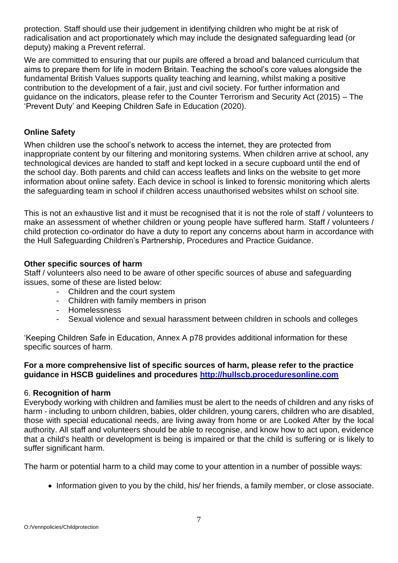protection. Staff should use their judgement in identifying children who might be at risk of radicalisation and act proportionately which may include the designated safeguarding lead (or deputy) making a Prevent referral.

We are committed to ensuring that our pupils are offered a broad and balanced curriculum that aims to prepare them for life in modern Britain. Teaching the school's core values alongside the fundamental British Values supports quality teaching and learning, whilst making a positive contribution to the development of a fair, just and civil society. For further information and guidance on the indicators, please refer to the Counter Terrorism and Security Act (2015) – The 'Prevent Duty' and Keeping Children Safe in Education (2020).

## **Online Safety**

When children use the school's network to access the internet, they are protected from inappropriate content by our filtering and monitoring systems. When children arrive at school, any technological devices are handed to staff and kept locked in a secure cupboard until the end of the school day. Both parents and child can access leaflets and links on the website to get more information about online safety. Each device in school is linked to forensic monitoring which alerts the safeguarding team in school if children access unauthorised websites whilst on school site.

This is not an exhaustive list and it must be recognised that it is not the role of staff / volunteers to make an assessment of whether children or young people have suffered harm. Staff / volunteers / child protection co-ordinator do have a duty to report any concerns about harm in accordance with the Hull Safeguarding Children's Partnership, Procedures and Practice Guidance.

## **Other specific sources of harm**

Staff / volunteers also need to be aware of other specific sources of abuse and safeguarding issues, some of these are listed below:

- Children and the court system
- Children with family members in prison
- Homelessness
- Sexual violence and sexual harassment between children in schools and colleges

'Keeping Children Safe in Education, Annex A p78 provides additional information for these specific sources of harm.

#### **For a more comprehensive list of specific sources of harm, please refer to the practice guidance in HSCB guidelines and procedures [http://hullscb.proceduresonline.com](http://hullscb.proceduresonline.com/)**

#### 6. **Recognition of harm**

Everybody working with children and families must be alert to the needs of children and any risks of harm - including to unborn children, babies, older children, young carers, children who are disabled, those with special educational needs, are living away from home or are Looked After by the local authority. All staff and volunteers should be able to recognise, and know how to act upon, evidence that a child's health or development is being is impaired or that the child is suffering or is likely to suffer significant harm.

The harm or potential harm to a child may come to your attention in a number of possible ways:

• Information given to you by the child, his/ her friends, a family member, or close associate.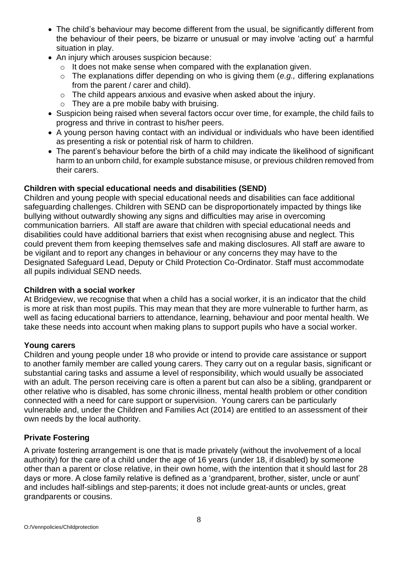- The child's behaviour may become different from the usual, be significantly different from the behaviour of their peers, be bizarre or unusual or may involve 'acting out' a harmful situation in play.
- An injury which arouses suspicion because:
	- $\circ$  It does not make sense when compared with the explanation given.
	- o The explanations differ depending on who is giving them (*e.g.,* differing explanations from the parent / carer and child).
	- o The child appears anxious and evasive when asked about the injury.
	- $\circ$  They are a pre mobile baby with bruising.
- Suspicion being raised when several factors occur over time, for example, the child fails to progress and thrive in contrast to his/her peers.
- A young person having contact with an individual or individuals who have been identified as presenting a risk or potential risk of harm to children.
- The parent's behaviour before the birth of a child may indicate the likelihood of significant harm to an unborn child, for example substance misuse, or previous children removed from their carers.

## **Children with special educational needs and disabilities (SEND)**

Children and young people with special educational needs and disabilities can face additional safeguarding challenges. Children with SEND can be disproportionately impacted by things like bullying without outwardly showing any signs and difficulties may arise in overcoming communication barriers. All staff are aware that children with special educational needs and disabilities could have additional barriers that exist when recognising abuse and neglect. This could prevent them from keeping themselves safe and making disclosures. All staff are aware to be vigilant and to report any changes in behaviour or any concerns they may have to the Designated Safeguard Lead, Deputy or Child Protection Co-Ordinator. Staff must accommodate all pupils individual SEND needs.

#### **Children with a social worker**

At Bridgeview, we recognise that when a child has a social worker, it is an indicator that the child is more at risk than most pupils. This may mean that they are more vulnerable to further harm, as well as facing educational barriers to attendance, learning, behaviour and poor mental health. We take these needs into account when making plans to support pupils who have a social worker.

#### **Young carers**

Children and young people under 18 who provide or intend to provide care assistance or support to another family member are called young carers. They carry out on a regular basis, significant or substantial caring tasks and assume a level of responsibility, which would usually be associated with an adult. The person receiving care is often a parent but can also be a sibling, grandparent or other relative who is disabled, has some chronic illness, mental health problem or other condition connected with a need for care support or supervision. Young carers can be particularly vulnerable and, under the Children and Families Act (2014) are entitled to an assessment of their own needs by the local authority.

#### **Private Fostering**

A private fostering arrangement is one that is made privately (without the involvement of a local authority) for the care of a child under the age of 16 years (under 18, if disabled) by someone other than a parent or close relative, in their own home, with the intention that it should last for 28 days or more. A close family relative is defined as a 'grandparent, brother, sister, uncle or aunt' and includes half-siblings and step-parents; it does not include great-aunts or uncles, great grandparents or cousins.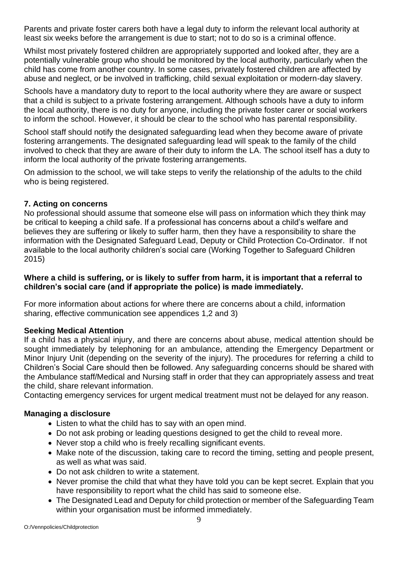Parents and private foster carers both have a legal duty to inform the relevant local authority at least six weeks before the arrangement is due to start; not to do so is a criminal offence.

Whilst most privately fostered children are appropriately supported and looked after, they are a potentially vulnerable group who should be monitored by the local authority, particularly when the child has come from another country. In some cases, privately fostered children are affected by abuse and neglect, or be involved in trafficking, child sexual exploitation or modern-day slavery.

Schools have a mandatory duty to report to the local authority where they are aware or suspect that a child is subject to a private fostering arrangement. Although schools have a duty to inform the local authority, there is no duty for anyone, including the private foster carer or social workers to inform the school. However, it should be clear to the school who has parental responsibility.

School staff should notify the designated safeguarding lead when they become aware of private fostering arrangements. The designated safeguarding lead will speak to the family of the child involved to check that they are aware of their duty to inform the LA. The school itself has a duty to inform the local authority of the private fostering arrangements.

On admission to the school, we will take steps to verify the relationship of the adults to the child who is being registered.

## **7. Acting on concerns**

No professional should assume that someone else will pass on information which they think may be critical to keeping a child safe. If a professional has concerns about a child's welfare and believes they are suffering or likely to suffer harm, then they have a responsibility to share the information with the Designated Safeguard Lead, Deputy or Child Protection Co-Ordinator. If not available to the local authority children's social care (Working Together to Safeguard Children 2015)

#### **Where a child is suffering, or is likely to suffer from harm, it is important that a referral to children's social care (and if appropriate the police) is made immediately.**

For more information about actions for where there are concerns about a child, information sharing, effective communication see appendices 1,2 and 3)

## **Seeking Medical Attention**

If a child has a physical injury, and there are concerns about abuse, medical attention should be sought immediately by telephoning for an ambulance, attending the Emergency Department or Minor Injury Unit (depending on the severity of the injury). The procedures for referring a child to Children's Social Care should then be followed. Any safeguarding concerns should be shared with the Ambulance staff/Medical and Nursing staff in order that they can appropriately assess and treat the child, share relevant information.

Contacting emergency services for urgent medical treatment must not be delayed for any reason.

## **Managing a disclosure**

- Listen to what the child has to say with an open mind.
- Do not ask probing or leading questions designed to get the child to reveal more.
- Never stop a child who is freely recalling significant events.
- Make note of the discussion, taking care to record the timing, setting and people present, as well as what was said.
- Do not ask children to write a statement.
- Never promise the child that what they have told you can be kept secret. Explain that you have responsibility to report what the child has said to someone else.
- The Designated Lead and Deputy for child protection or member of the Safeguarding Team within your organisation must be informed immediately.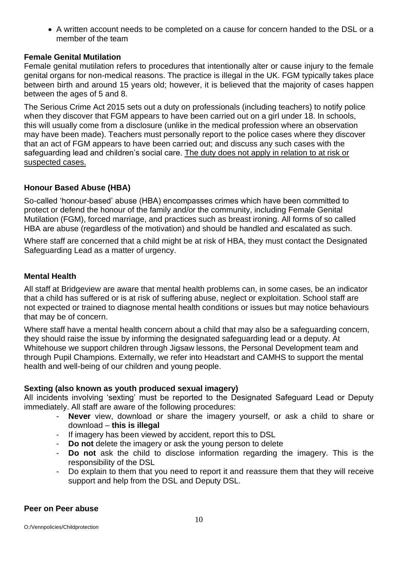• A written account needs to be completed on a cause for concern handed to the DSL or a member of the team

## **Female Genital Mutilation**

Female genital mutilation refers to procedures that intentionally alter or cause injury to the female genital organs for non-medical reasons. The practice is illegal in the UK. FGM typically takes place between birth and around 15 years old; however, it is believed that the majority of cases happen between the ages of 5 and 8.

The Serious Crime Act 2015 sets out a duty on professionals (including teachers) to notify police when they discover that FGM appears to have been carried out on a girl under 18. In schools, this will usually come from a disclosure (unlike in the medical profession where an observation may have been made). Teachers must personally report to the police cases where they discover that an act of FGM appears to have been carried out; and discuss any such cases with the safeguarding lead and children's social care. The duty does not apply in relation to at risk or suspected cases.

## **Honour Based Abuse (HBA)**

So-called 'honour-based' abuse (HBA) encompasses crimes which have been committed to protect or defend the honour of the family and/or the community, including Female Genital Mutilation (FGM), forced marriage, and practices such as breast ironing. All forms of so called HBA are abuse (regardless of the motivation) and should be handled and escalated as such.

Where staff are concerned that a child might be at risk of HBA, they must contact the Designated Safeguarding Lead as a matter of urgency.

#### **Mental Health**

All staff at Bridgeview are aware that mental health problems can, in some cases, be an indicator that a child has suffered or is at risk of suffering abuse, neglect or exploitation. School staff are not expected or trained to diagnose mental health conditions or issues but may notice behaviours that may be of concern.

Where staff have a mental health concern about a child that may also be a safeguarding concern, they should raise the issue by informing the designated safeguarding lead or a deputy. At Whitehouse we support children through Jigsaw lessons, the Personal Development team and through Pupil Champions. Externally, we refer into Headstart and CAMHS to support the mental health and well-being of our children and young people.

#### **Sexting (also known as youth produced sexual imagery)**

All incidents involving 'sexting' must be reported to the Designated Safeguard Lead or Deputy immediately. All staff are aware of the following procedures:

- Never view, download or share the imagery yourself, or ask a child to share or download – **this is illegal**
- If imagery has been viewed by accident, report this to DSL
- **Do not** delete the imagery or ask the young person to delete
- **Do not** ask the child to disclose information regarding the imagery. This is the responsibility of the DSL
- Do explain to them that you need to report it and reassure them that they will receive support and help from the DSL and Deputy DSL.

#### **Peer on Peer abuse**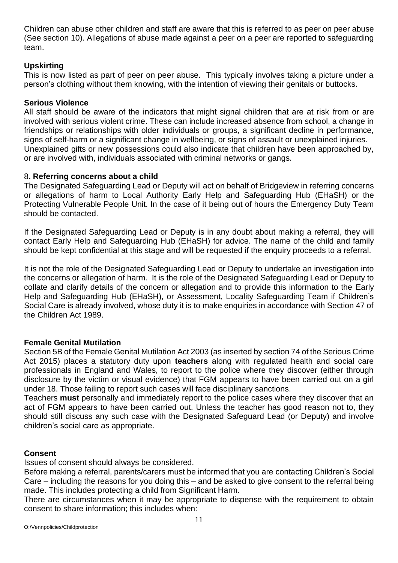Children can abuse other children and staff are aware that this is referred to as peer on peer abuse (See section 10). Allegations of abuse made against a peer on a peer are reported to safeguarding team.

## **Upskirting**

This is now listed as part of peer on peer abuse. This typically involves taking a picture under a person's clothing without them knowing, with the intention of viewing their genitals or buttocks.

#### **Serious Violence**

All staff should be aware of the indicators that might signal children that are at risk from or are involved with serious violent crime. These can include increased absence from school, a change in friendships or relationships with older individuals or groups, a significant decline in performance, signs of self-harm or a significant change in wellbeing, or signs of assault or unexplained injuries. Unexplained gifts or new possessions could also indicate that children have been approached by, or are involved with, individuals associated with criminal networks or gangs.

#### 8**. Referring concerns about a child**

The Designated Safeguarding Lead or Deputy will act on behalf of Bridgeview in referring concerns or allegations of harm to Local Authority Early Help and Safeguarding Hub (EHaSH) or the Protecting Vulnerable People Unit. In the case of it being out of hours the Emergency Duty Team should be contacted.

If the Designated Safeguarding Lead or Deputy is in any doubt about making a referral, they will contact Early Help and Safeguarding Hub (EHaSH) for advice. The name of the child and family should be kept confidential at this stage and will be requested if the enquiry proceeds to a referral.

It is not the role of the Designated Safeguarding Lead or Deputy to undertake an investigation into the concerns or allegation of harm. It is the role of the Designated Safeguarding Lead or Deputy to collate and clarify details of the concern or allegation and to provide this information to the Early Help and Safeguarding Hub (EHaSH), or Assessment, Locality Safeguarding Team if Children's Social Care is already involved, whose duty it is to make enquiries in accordance with Section 47 of the Children Act 1989.

#### **Female Genital Mutilation**

Section 5B of the Female Genital Mutilation Act 2003 (as inserted by section 74 of the Serious Crime Act 2015) places a statutory duty upon **teachers** along with regulated health and social care professionals in England and Wales, to report to the police where they discover (either through disclosure by the victim or visual evidence) that FGM appears to have been carried out on a girl under 18. Those failing to report such cases will face disciplinary sanctions.

Teachers **must** personally and immediately report to the police cases where they discover that an act of FGM appears to have been carried out. Unless the teacher has good reason not to, they should still discuss any such case with the Designated Safeguard Lead (or Deputy) and involve children's social care as appropriate.

#### **Consent**

Issues of consent should always be considered.

Before making a referral, parents/carers must be informed that you are contacting Children's Social Care – including the reasons for you doing this – and be asked to give consent to the referral being made. This includes protecting a child from Significant Harm.

There are circumstances when it may be appropriate to dispense with the requirement to obtain consent to share information; this includes when: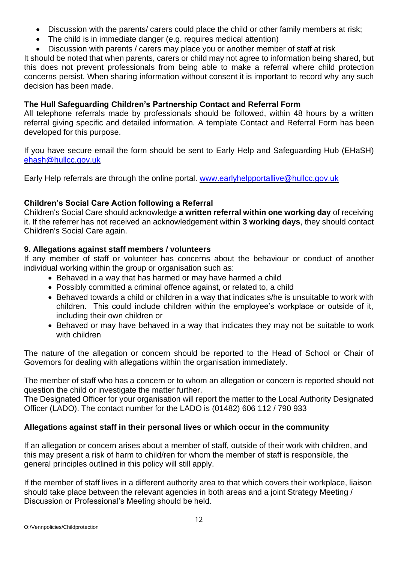- Discussion with the parents/ carers could place the child or other family members at risk;
- The child is in immediate danger (e.g. requires medical attention)
- Discussion with parents / carers may place you or another member of staff at risk

It should be noted that when parents, carers or child may not agree to information being shared, but this does not prevent professionals from being able to make a referral where child protection concerns persist. When sharing information without consent it is important to record why any such decision has been made.

## **The Hull Safeguarding Children's Partnership Contact and Referral Form**

All telephone referrals made by professionals should be followed, within 48 hours by a written referral giving specific and detailed information. A template Contact and Referral Form has been developed for this purpose.

If you have secure email the form should be sent to Early Help and Safeguarding Hub (EHaSH) [ehash@hullcc.gov.uk](mailto:ehash@hullcc.gov.uk)

Early Help referrals are through the online portal. [www.earlyhelpportallive@hullcc.gov.uk](http://www.earlyhelpportallive@hullcc.gov.uk/)

## **Children's Social Care Action following a Referral**

Children's Social Care should acknowledge **a written referral within one working day** of receiving it. If the referrer has not received an acknowledgement within **3 working days**, they should contact Children's Social Care again.

## **9. Allegations against staff members / volunteers**

If any member of staff or volunteer has concerns about the behaviour or conduct of another individual working within the group or organisation such as:

- Behaved in a way that has harmed or may have harmed a child
- Possibly committed a criminal offence against, or related to, a child
- Behaved towards a child or children in a way that indicates s/he is unsuitable to work with children. This could include children within the employee's workplace or outside of it, including their own children or
- Behaved or may have behaved in a way that indicates they may not be suitable to work with children

The nature of the allegation or concern should be reported to the Head of School or Chair of Governors for dealing with allegations within the organisation immediately.

The member of staff who has a concern or to whom an allegation or concern is reported should not question the child or investigate the matter further.

The Designated Officer for your organisation will report the matter to the Local Authority Designated Officer (LADO). The contact number for the LADO is (01482) 606 112 / 790 933

## **Allegations against staff in their personal lives or which occur in the community**

If an allegation or concern arises about a member of staff, outside of their work with children, and this may present a risk of harm to child/ren for whom the member of staff is responsible, the general principles outlined in this policy will still apply.

If the member of staff lives in a different authority area to that which covers their workplace, liaison should take place between the relevant agencies in both areas and a joint Strategy Meeting / Discussion or Professional's Meeting should be held.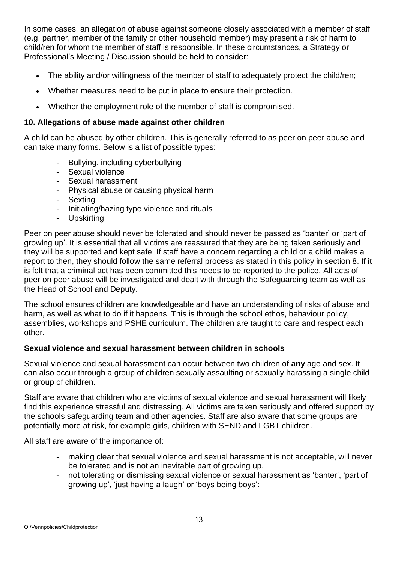In some cases, an allegation of abuse against someone closely associated with a member of staff (e.g. partner, member of the family or other household member) may present a risk of harm to child/ren for whom the member of staff is responsible. In these circumstances, a Strategy or Professional's Meeting / Discussion should be held to consider:

- The ability and/or willingness of the member of staff to adequately protect the child/ren;
- Whether measures need to be put in place to ensure their protection.
- Whether the employment role of the member of staff is compromised.

#### **10. Allegations of abuse made against other children**

A child can be abused by other children. This is generally referred to as peer on peer abuse and can take many forms. Below is a list of possible types:

- Bullying, including cyberbullying
- Sexual violence
- Sexual harassment
- Physical abuse or causing physical harm
- Sexting
- Initiating/hazing type violence and rituals
- **Upskirting**

Peer on peer abuse should never be tolerated and should never be passed as 'banter' or 'part of growing up'. It is essential that all victims are reassured that they are being taken seriously and they will be supported and kept safe. If staff have a concern regarding a child or a child makes a report to then, they should follow the same referral process as stated in this policy in section 8. If it is felt that a criminal act has been committed this needs to be reported to the police. All acts of peer on peer abuse will be investigated and dealt with through the Safeguarding team as well as the Head of School and Deputy.

The school ensures children are knowledgeable and have an understanding of risks of abuse and harm, as well as what to do if it happens. This is through the school ethos, behaviour policy, assemblies, workshops and PSHE curriculum. The children are taught to care and respect each other.

#### **Sexual violence and sexual harassment between children in schools**

Sexual violence and sexual harassment can occur between two children of **any** age and sex. It can also occur through a group of children sexually assaulting or sexually harassing a single child or group of children.

Staff are aware that children who are victims of sexual violence and sexual harassment will likely find this experience stressful and distressing. All victims are taken seriously and offered support by the schools safeguarding team and other agencies. Staff are also aware that some groups are potentially more at risk, for example girls, children with SEND and LGBT children.

All staff are aware of the importance of:

- making clear that sexual violence and sexual harassment is not acceptable, will never be tolerated and is not an inevitable part of growing up.
- not tolerating or dismissing sexual violence or sexual harassment as 'banter', 'part of growing up', 'just having a laugh' or 'boys being boys':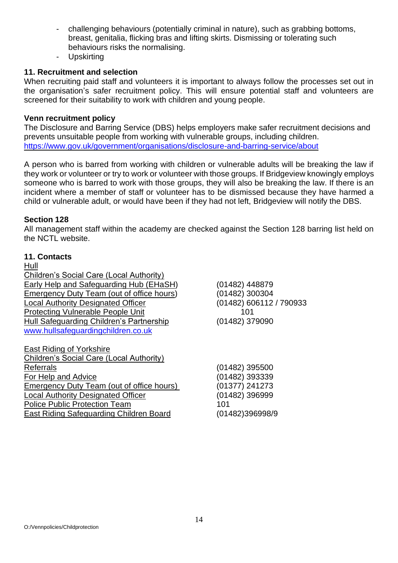- challenging behaviours (potentially criminal in nature), such as grabbing bottoms, breast, genitalia, flicking bras and lifting skirts. Dismissing or tolerating such behaviours risks the normalising.
- Upskirting

#### **11. Recruitment and selection**

When recruiting paid staff and volunteers it is important to always follow the processes set out in the organisation's safer recruitment policy. This will ensure potential staff and volunteers are screened for their suitability to work with children and young people.

#### **Venn recruitment policy**

The Disclosure and Barring Service (DBS) helps employers make safer recruitment decisions and prevents unsuitable people from working with vulnerable groups, including children. <https://www.gov.uk/government/organisations/disclosure-and-barring-service/about>

A person who is barred from working with children or vulnerable adults will be breaking the law if they work or volunteer or try to work or volunteer with those groups. If Bridgeview knowingly employs someone who is barred to work with those groups, they will also be breaking the law. If there is an incident where a member of staff or volunteer has to be dismissed because they have harmed a child or vulnerable adult, or would have been if they had not left, Bridgeview will notify the DBS.

#### **Section 128**

All management staff within the academy are checked against the Section 128 barring list held on the NCTL website.

#### **11. Contacts**

Hull Children's Social Care (Local Authority) Early Help and Safeguarding Hub (EHaSH) (01482) 448879 Emergency Duty Team (out of office hours) (01482) 300304 Local Authority Designated Officer (01482) 606112 / 790933 Protecting Vulnerable People Unit 101 Hull Safeguarding Children's Partnership (01482) 379090 [www.hullsafeguardingchildren.co.uk](http://www.hullsafeguardingchildren.co.uk/)

- East Riding of Yorkshire Children's Social Care (Local Authority) Referrals (01482) 395500 For Help and Advice (01482) 393339 Emergency Duty Team (out of office hours) (01377) 241273 Local Authority Designated Officer (01482) 396999 Police Public Protection Team 101 East Riding Safeguarding Children Board (01482)396998/9
-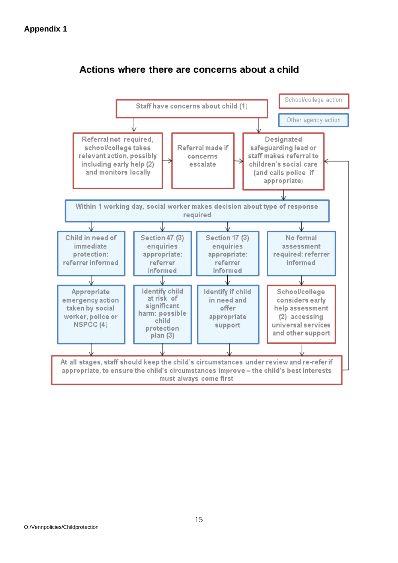

## Actions where there are concerns about a child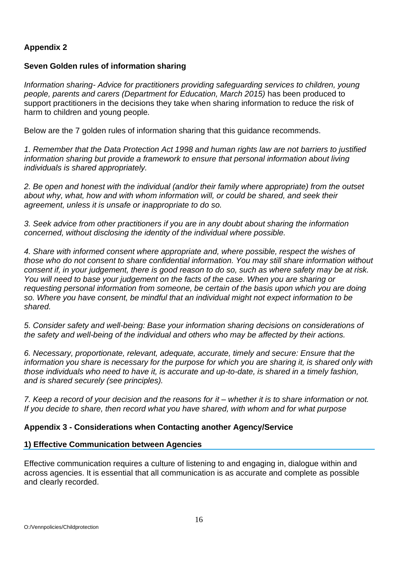## **Appendix 2**

#### **Seven Golden rules of information sharing**

*Information sharing- Advice for practitioners providing safeguarding services to children, young people, parents and carers (Department for Education, March 2015)* has been produced to support practitioners in the decisions they take when sharing information to reduce the risk of harm to children and young people*.*

Below are the 7 golden rules of information sharing that this guidance recommends.

*1. Remember that the Data Protection Act 1998 and human rights law are not barriers to justified information sharing but provide a framework to ensure that personal information about living individuals is shared appropriately.*

*2. Be open and honest with the individual (and/or their family where appropriate) from the outset about why, what, how and with whom information will, or could be shared, and seek their agreement, unless it is unsafe or inappropriate to do so.*

*3. Seek advice from other practitioners if you are in any doubt about sharing the information concerned, without disclosing the identity of the individual where possible.*

*4. Share with informed consent where appropriate and, where possible, respect the wishes of those who do not consent to share confidential information. You may still share information without consent if, in your judgement, there is good reason to do so, such as where safety may be at risk. You will need to base your judgement on the facts of the case. When you are sharing or requesting personal information from someone, be certain of the basis upon which you are doing so. Where you have consent, be mindful that an individual might not expect information to be shared.*

*5. Consider safety and well-being: Base your information sharing decisions on considerations of the safety and well-being of the individual and others who may be affected by their actions.*

*6. Necessary, proportionate, relevant, adequate, accurate, timely and secure: Ensure that the information you share is necessary for the purpose for which you are sharing it, is shared only with those individuals who need to have it, is accurate and up-to-date, is shared in a timely fashion, and is shared securely (see principles).*

*7. Keep a record of your decision and the reasons for it – whether it is to share information or not. If you decide to share, then record what you have shared, with whom and for what purpose*

#### **Appendix 3 - Considerations when Contacting another Agency/Service**

#### **1) Effective Communication between Agencies**

Effective communication requires a culture of listening to and engaging in, dialogue within and across agencies. It is essential that all communication is as accurate and complete as possible and clearly recorded.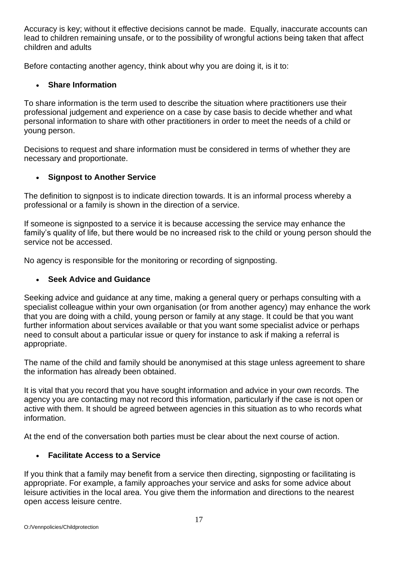Accuracy is key; without it effective decisions cannot be made. Equally, inaccurate accounts can lead to children remaining unsafe, or to the possibility of wrongful actions being taken that affect children and adults

Before contacting another agency, think about why you are doing it, is it to:

## • **Share Information**

To share information is the term used to describe the situation where practitioners use their professional judgement and experience on a case by case basis to decide whether and what personal information to share with other practitioners in order to meet the needs of a child or young person.

Decisions to request and share information must be considered in terms of whether they are necessary and proportionate.

## • **Signpost to Another Service**

The definition to signpost is to indicate direction towards. It is an informal process whereby a professional or a family is shown in the direction of a service.

If someone is signposted to a service it is because accessing the service may enhance the family's quality of life, but there would be no increased risk to the child or young person should the service not be accessed.

No agency is responsible for the monitoring or recording of signposting.

## • **Seek Advice and Guidance**

Seeking advice and guidance at any time, making a general query or perhaps consulting with a specialist colleague within your own organisation (or from another agency) may enhance the work that you are doing with a child, young person or family at any stage. It could be that you want further information about services available or that you want some specialist advice or perhaps need to consult about a particular issue or query for instance to ask if making a referral is appropriate.

The name of the child and family should be anonymised at this stage unless agreement to share the information has already been obtained.

It is vital that you record that you have sought information and advice in your own records. The agency you are contacting may not record this information, particularly if the case is not open or active with them. It should be agreed between agencies in this situation as to who records what information.

At the end of the conversation both parties must be clear about the next course of action.

## • **Facilitate Access to a Service**

If you think that a family may benefit from a service then directing, signposting or facilitating is appropriate. For example, a family approaches your service and asks for some advice about leisure activities in the local area. You give them the information and directions to the nearest open access leisure centre.